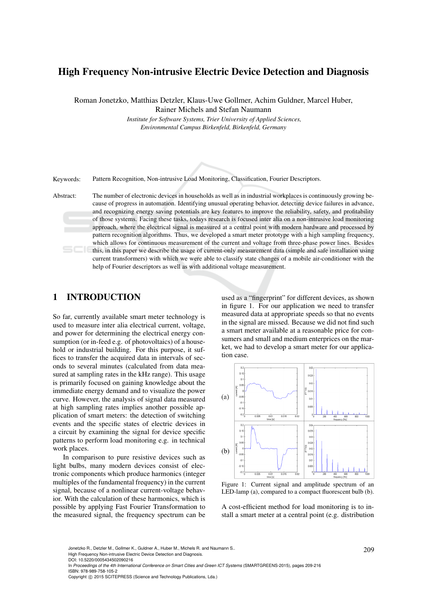# High Frequency Non-intrusive Electric Device Detection and Diagnosis

Roman Jonetzko, Matthias Detzler, Klaus-Uwe Gollmer, Achim Guldner, Marcel Huber, Rainer Michels and Stefan Naumann

> *Institute for Software Systems, Trier University of Applied Sciences, Environmental Campus Birkenfeld, Birkenfeld, Germany*

Keywords: Pattern Recognition, Non-intrusive Load Monitoring, Classification, Fourier Descriptors.

Abstract: The number of electronic devices in households as well as in industrial workplaces is continuously growing because of progress in automation. Identifying unusual operating behavior, detecting device failures in advance, and recognizing energy saving potentials are key features to improve the reliability, safety, and profitability of those systems. Facing these tasks, todays research is focused inter alia on a non-intrusive load monitoring approach, where the electrical signal is measured at a central point with modern hardware and processed by pattern recognition algorithms. Thus, we developed a smart meter prototype with a high sampling frequency, which allows for continuous measurement of the current and voltage from three-phase power lines. Besides this, in this paper we describe the usage of current-only measurement data (simple and safe installation using current transformers) with which we were able to classify state changes of a mobile air-conditioner with the help of Fourier descriptors as well as with additional voltage measurement.

# 1 INTRODUCTION

So far, currently available smart meter technology is used to measure inter alia electrical current, voltage, and power for determining the electrical energy consumption (or in-feed e.g. of photovoltaics) of a household or industrial building. For this purpose, it suffices to transfer the acquired data in intervals of seconds to several minutes (calculated from data measured at sampling rates in the kHz range). This usage is primarily focused on gaining knowledge about the immediate energy demand and to visualize the power curve. However, the analysis of signal data measured at high sampling rates implies another possible application of smart meters: the detection of switching events and the specific states of electric devices in a circuit by examining the signal for device specific patterns to perform load monitoring e.g. in technical work places.

In comparison to pure resistive devices such as light bulbs, many modern devices consist of electronic components which produce harmonics (integer multiples of the fundamental frequency) in the current signal, because of a nonlinear current-voltage behavior. With the calculation of these harmonics, which is possible by applying Fast Fourier Transformation to the measured signal, the frequency spectrum can be

used as a "fingerprint" for different devices, as shown in figure 1. For our application we need to transfer measured data at appropriate speeds so that no events in the signal are missed. Because we did not find such a smart meter available at a reasonable price for consumers and small and medium enterprices on the market, we had to develop a smart meter for our application case.



Figure 1: Current signal and amplitude spectrum of an LED-lamp (a), compared to a compact fluorescent bulb (b).

A cost-efficient method for load monitoring is to install a smart meter at a central point (e.g. distribution

Jonetzko R., Detzler M., Gollmer K., Guldner A., Huber M., Michels R. and Naumann S..  $209$ 

High Frequency Non-intrusive Electric Device Detection and Diagnosis. DOI: 10.5220/0005434502090216

In *Proceedings of the 4th International Conference on Smart Cities and Green ICT Systems* (SMARTGREENS-2015), pages 209-216 ISBN: 978-989-758-105-2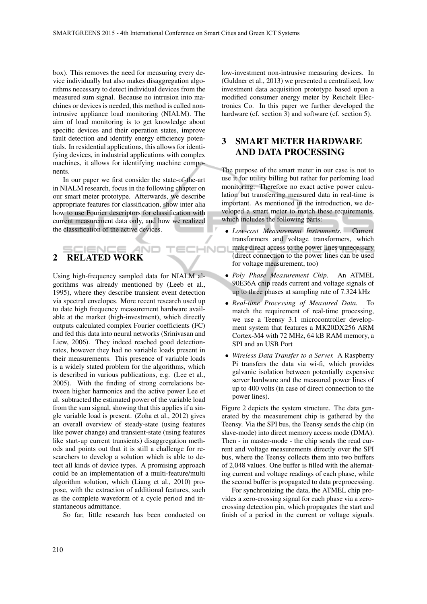box). This removes the need for measuring every device individually but also makes disaggregation algorithms necessary to detect individual devices from the measured sum signal. Because no intrusion into machines or devices is needed, this method is called nonintrusive appliance load monitoring (NIALM). The aim of load monitoring is to get knowledge about specific devices and their operation states, improve fault detection and identify energy efficiency potentials. In residential applications, this allows for identifying devices, in industrial applications with complex machines, it allows for identifying machine components.

In our paper we first consider the state-of-the-art in NIALM research, focus in the following chapter on our smart meter prototype. Afterwards, we describe appropriate features for classification, show inter alia how to use Fourier descriptors for classification with current measurement data only, and how we realized the classification of the active devices.

### IENCE 2 RELATED WORK

Using high-frequency sampled data for NIALM algorithms was already mentioned by (Leeb et al., 1995), where they describe transient event detection via spectral envelopes. More recent research used up to date high frequency measurement hardware available at the market (high-investment), which directly outputs calculated complex Fourier coefficients (FC) and fed this data into neural networks (Srinivasan and Liew, 2006). They indeed reached good detectionrates, however they had no variable loads present in their measurements. This presence of variable loads is a widely stated problem for the algorithms, which is described in various publications, e.g. (Lee et al., 2005). With the finding of strong correlations between higher harmonics and the active power Lee et al. subtracted the estimated power of the variable load from the sum signal, showing that this applies if a single variable load is present. (Zoha et al., 2012) gives an overall overview of steady-state (using features like power change) and transient-state (using features like start-up current transients) disaggregation methods and points out that it is still a challenge for researchers to develop a solution which is able to detect all kinds of device types. A promising approach could be an implementation of a multi-feature/multi algorithm solution, which (Liang et al., 2010) propose, with the extraction of additional features, such as the complete waveform of a cycle period and instantaneous admittance.

So far, little research has been conducted on

low-investment non-intrusive measuring devices. In (Guldner et al., 2013) we presented a centralized, low investment data acquisition prototype based upon a modified consumer energy meter by Reichelt Electronics Co. In this paper we further developed the hardware (cf. section 3) and software (cf. section 5).

# 3 SMART METER HARDWARE AND DATA PROCESSING

The purpose of the smart meter in our case is not to use it for utility billing but rather for perfoming load monitoring. Therefore no exact active power calculation but transferring measured data in real-time is important. As mentioned in the introduction, we developed a smart meter to match these requirements, which includes the following parts:

- *Low-cost Measurement Instruments.* Current transformers and voltage transformers, which make direct access to the power lines unnecessary ECHNO (direct connection to the power lines can be used for voltage measurement, too)
	- *Poly Phase Measurement Chip.* An ATMEL 90E36A chip reads current and voltage signals of up to three phases at sampling rate of 7.324 kHz
	- *Real-time Processing of Measured Data.* To match the requirement of real-time processing, we use a Teensy 3.1 microcontroller development system that features a MK20DX256 ARM Cortex-M4 with 72 MHz, 64 kB RAM memory, a SPI and an USB Port
	- *Wireless Data Transfer to a Server.* A Raspberry Pi transfers the data via wi-fi, which provides galvanic isolation between potentially expensive server hardware and the measured power lines of up to 400 volts (in case of direct connection to the power lines).

Figure 2 depicts the system structure. The data generated by the measurement chip is gathered by the Teensy. Via the SPI bus, the Teensy sends the chip (in slave-mode) into direct memory access mode (DMA). Then - in master-mode - the chip sends the read current and voltage measurements directly over the SPI bus, where the Teensy collects them into two buffers of 2,048 values. One buffer is filled with the alternating current and voltage readings of each phase, while the second buffer is propagated to data preprocessing.

For synchronizing the data, the ATMEL chip provides a zero-crossing signal for each phase via a zerocrossing detection pin, which propagates the start and finish of a period in the current or voltage signals.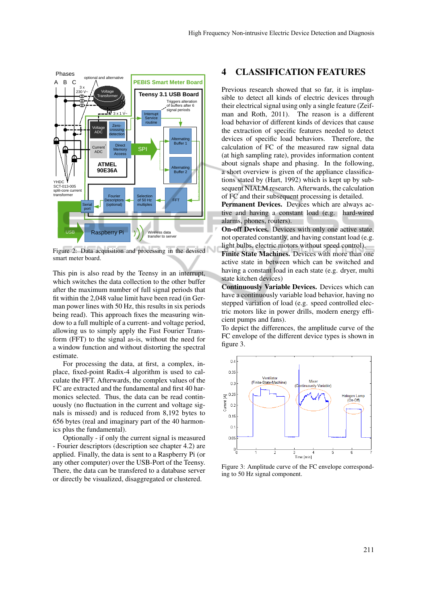

Figure 2: Data acquisition and processing in the devised smart meter board.

This pin is also read by the Teensy in an interrupt, which switches the data collection to the other buffer after the maximum number of full signal periods that fit within the 2,048 value limit have been read (in German power lines with 50 Hz, this results in six periods being read). This approach fixes the measuring window to a full multiple of a current- and voltage period, allowing us to simply apply the Fast Fourier Transform (FFT) to the signal as-is, without the need for a window function and without distorting the spectral estimate.

For processing the data, at first, a complex, inplace, fixed-point Radix-4 algorithm is used to calculate the FFT. Afterwards, the complex values of the FC are extracted and the fundamental and first 40 harmonics selected. Thus, the data can be read continuously (no fluctuation in the current and voltage signals is missed) and is reduced from 8,192 bytes to 656 bytes (real and imaginary part of the 40 harmonics plus the fundamental).

Optionally - if only the current signal is measured - Fourier descriptors (description see chapter 4.2) are applied. Finally, the data is sent to a Raspberry Pi (or any other computer) over the USB-Port of the Teensy. There, the data can be transfered to a database server or directly be visualized, disaggregated or clustered.

## 4 CLASSIFICATION FEATURES

Previous research showed that so far, it is implausible to detect all kinds of electric devices through their electrical signal using only a single feature (Zeifman and Roth, 2011). The reason is a different load behavior of different kinds of devices that cause the extraction of specific features needed to detect devices of specific load behaviors. Therefore, the calculation of FC of the measured raw signal data (at high sampling rate), provides information content about signals shape and phasing. In the following, a short overview is given of the appliance classifications stated by (Hart, 1992) which is kept up by subsequent NIALM research. Afterwards, the calculation of FC and their subsequent processing is detailed.

Permanent Devices. Devices which are always active and having a constant load (e.g. hard-wired alarms, phones, routers).

On-off Devices. Devices with only one active state, not operated constantly, and having constant load (e.g. light bulbs, electric motors without speed control).

Finite State Machines. Devices with more than one active state in between which can be switched and having a constant load in each state (e.g. dryer, multi state kitchen devices)

Continuously Variable Devices. Devices which can have a continuously variable load behavior, having no stepped variation of load (e.g. speed controlled electric motors like in power drills, modern energy efficient pumps and fans).

To depict the differences, the amplitude curve of the FC envelope of the different device types is shown in figure 3.



Figure 3: Amplitude curve of the FC envelope corresponding to 50 Hz signal component.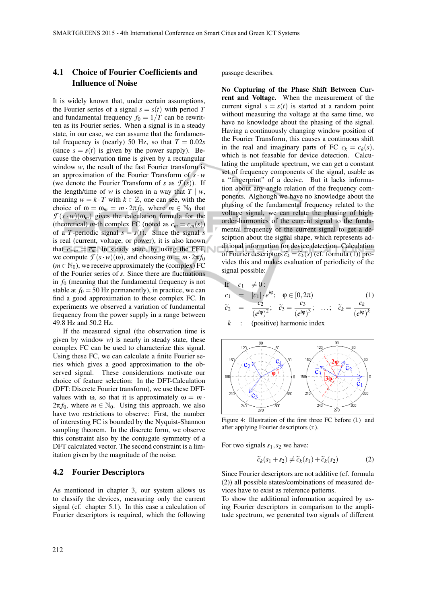# 4.1 Choice of Fourier Coefficients and Influence of Noise

It is widely known that, under certain assumptions, the Fourier series of a signal  $s = s(t)$  with period T and fundamental frequency  $f_0 = 1/T$  can be rewritten as its Fourier series. When a signal is in a steady state, in our case, we can assume that the fundamental frequency is (nearly) 50 Hz, so that  $T = 0.02s$ (since  $s = s(t)$  is given by the power supply). Because the observation time is given by a rectangular window *w*, the result of the fast Fourier transform is an approximation of the Fourier Transform of  $s \cdot w$ (we denote the Fourier Transform of *s* as  $\mathcal{F}(s)$ ). If the length/time of *w* is chosen in a way that  $T \mid w$ , meaning  $w = k \cdot T$  with  $k \in \mathbb{Z}$ , one can see, with the choice of  $\omega = \omega_m = m \cdot 2\pi f_0$ , where  $m \in \mathbb{N}_0$  that  $\mathcal{F}(s \cdot w)(\omega_m)$  gives the calculation formula for the (theoretical) *m*-th complex FC (noted as  $c_m = c_m(s)$ ) of a *T*-periodic signal  $s = s(t)$ . Since the signal *s* is real (current, voltage, or power), it is also known that  $c_{-m} = \overline{c_m}$ . In steady state, by using the FFT, we compute  $\mathcal{F}(s \cdot w)(\omega)$ , and choosing  $\omega = m \cdot 2\pi f_0$  $(m \in \mathbb{N}_0)$ , we receive approximately the (complex) FC of the Fourier series of *s*. Since there are fluctuations in  $f_0$  (meaning that the fundamental frequency is not stable at  $f_0 = 50$  Hz permanently), in practice, we can find a good approximation to these complex FC. In experiments we observed a variation of fundamental frequency from the power supply in a range between 49.8 Hz and 50.2 Hz.

If the measured signal (the observation time is given by window *w*) is nearly in steady state, these complex FC can be used to characterize this signal. Using these FC, we can calculate a finite Fourier series which gives a good approximation to the observed signal. These considerations motivate our choice of feature selection: In the DFT-Calculation (DFT: Discrete Fourier transform), we use these DFTvalues with  $\omega$ , so that it is approximately  $\omega = m \cdot$  $2\pi f_0$ , where  $m \in \mathbb{N}_0$ . Using this approach, we also have two restrictions to observe: First, the number of interesting FC is bounded by the Nyquist-Shannon sampling theorem. In the discrete form, we observe this constraint also by the conjugate symmetry of a DFT calculated vector. The second constraint is a limitation given by the magnitude of the noise.

### 4.2 Fourier Descriptors

As mentioned in chapter 3, our system allows us to classify the devices, measuring only the current signal (cf. chapter 5.1). In this case a calculation of Fourier descriptors is required, which the following

passage describes.

No Capturing of the Phase Shift Between Current and Voltage. When the measurement of the current signal  $s = s(t)$  is started at a random point without measuring the voltage at the same time, we have no knowledge about the phasing of the signal. Having a continuously changing window position of the Fourier Transform, this causes a continuous shift in the real and imaginary parts of FC  $c_k = c_k(s)$ , which is not feasable for device detection. Calculating the amplitude spectrum, we can get a constant set of frequency components of the signal, usable as a "fingerprint" of a decive. But it lacks information about any angle relation of the frequency components. Alghough we have no knowledge about the phasing of the fundamental frequency related to the voltage signal, we can relate the phasing of highorder-harmonics of the current signal to the fundamental frequency of the current signal to get a desciption about the signal shape, which represents additional information for device detection. Calculation of Fourier descriptors  $\tilde{c}_k = \tilde{c}_k(s)$  (cf. formula (1)) provides this and makes evaluation of periodicity of the signal possible:

If 
$$
c_1 \neq 0
$$
:  
\n $c_1 = |c_1| \cdot e^{i\varphi}; \quad \varphi \in [0, 2\pi)$   
\n $\tilde{c}_2 = \frac{c_2}{(e^{i\varphi})^2}; \quad \tilde{c}_3 = \frac{c_3}{(e^{i\varphi})^3}; \quad \dots; \quad \tilde{c}_k = \frac{c_k}{(e^{i\varphi})^k}$ 

$$
k
$$
: (positive) harmonic index



Figure 4: Illustration of the first three FC before (l.) and after applying Fourier descriptors (r.).

For two signals  $s_1$ ,  $s_2$  we have:

$$
\widetilde{c}_k(s_1+s_2) \neq \widetilde{c}_k(s_1) + \widetilde{c}_k(s_2) \tag{2}
$$

Since Fourier descriptors are not additive (cf. formula (2)) all possible states/combinations of measured devices have to exist as reference patterns.

To show the additional information acquired by using Fourier descriptors in comparison to the amplitude spectrum, we generated two signals of different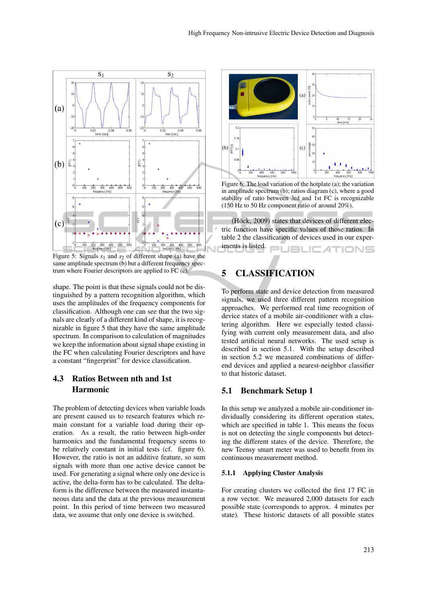

Figure 5: Signals  $s_1$  and  $s_2$  of different shape (a) have the same amplitude spectrum (b) but a different frequency spectrum where Fourier descriptors are applied to FC (c).

shape. The point is that these signals could not be distinguished by a pattern recognition algorithm, which uses the amplitudes of the frequency components for classification. Although one can see that the two signals are clearly of a different kind of shape, it is recognizable in figure 5 that they have the same amplitude spectrum. In comparison to calculation of magnitudes we keep the information about signal shape existing in the FC when calculating Fourier descriptors and have a constant "fingerprint" for device classification.

# 4.3 Ratios Between nth and 1st Harmonic

The problem of detecting devices when variable loads are present caused us to research features which remain constant for a variable load during their operation. As a result, the ratio between high-order harmonics and the fundamental frequency seems to be relatively constant in initial tests (cf. figure 6). However, the ratio is not an additive feature, so sum signals with more than one active device cannot be used. For generating a signal where only one device is active, the delta-form has to be calculated. The deltaform is the difference between the measured instantaneous data and the data at the previous measurement point. In this period of time between two measured data, we assume that only one device is switched.



Figure 6: The load variation of the hotplate (a); the variation in amplitude spectrum (b); ratios diagram (c), where a good stability of ratio between 3rd and 1st FC is recognizable (150 Hz to 50 Hz component ratio of around 20%).

(Höck, 2009) states that devices of different electric function have specific values of those ratios. In table 2 the classification of devices used in our experiments is listed. **JBLIC ATIONS** 

# 5 CLASSIFICATION

To perform state and device detection from measured signals, we used three different pattern recognition approaches. We performed real time recognition of device states of a mobile air-conditioner with a clustering algorithm. Here we especially tested classifying with current only measurement data, and also tested artificial neural networks. The used setup is described in section 5.1. With the setup described in section 5.2 we measured combinations of differend devices and applied a nearest-neighbor classifier to that historic dataset.

### 5.1 Benchmark Setup 1

In this setup we analyzed a mobile air-conditioner individually considering its different operation states, which are specified in table 1. This means the focus is not on detecting the single components but detecting the different states of the device. Therefore, the new Teensy smart meter was used to benefit from its continuous measurement method.

#### 5.1.1 Applying Cluster Analysis

For creating clusters we collected the first 17 FC in a row vector. We measured 2,000 datasets for each possible state (corresponds to approx. 4 minutes per state). These historic datasets of all possible states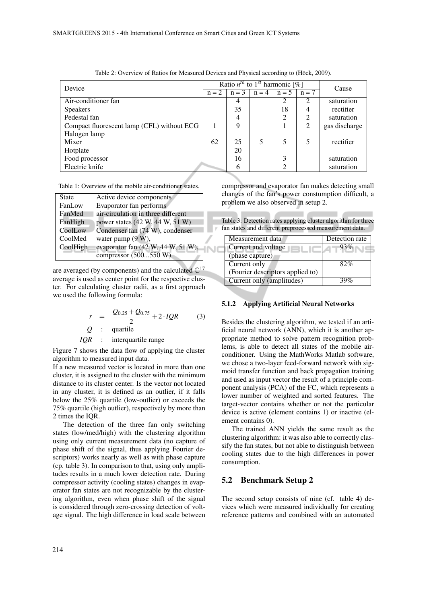| Device                                     |    | Ratio $n^{th}$ to 1 <sup>st</sup> harmonic [%] |         |                |                | Cause         |
|--------------------------------------------|----|------------------------------------------------|---------|----------------|----------------|---------------|
|                                            |    | $n = 2 \mid n = 3 \mid$                        | $n = 4$ | $n = 5$        | $n = 7$        |               |
| Air-conditioner fan                        |    |                                                |         | 2              | 2              | saturation    |
| <b>Speakers</b>                            |    | 35                                             |         | 18             | 4              | rectifier     |
| Pedestal fan                               |    | 4                                              |         | $\overline{c}$ | 2              | saturation    |
| Compact fluorescent lamp (CFL) without ECG |    | 9                                              |         |                | $\overline{2}$ | gas discharge |
| Halogen lamp                               |    |                                                |         |                |                |               |
| Mixer                                      | 62 | 25                                             |         | 5              | 5              | rectifier     |
| Hotplate                                   |    | 20                                             |         |                |                |               |
| Food processor                             |    | 16                                             |         | 3              |                | saturation    |
| Electric knife                             |    | 6                                              |         | ി              |                | saturation    |

NC

| Table 2: Overview of Ratios for Measured Devices and Physical according to (Höck, 2009). |  |  |
|------------------------------------------------------------------------------------------|--|--|
|------------------------------------------------------------------------------------------|--|--|

Table 1: Overview of the mobile air-conditioner states.

| <b>State</b> | Active device components           |
|--------------|------------------------------------|
| FanLow       | Evaporator fan performs            |
| FanMed       | air-circulation in three different |
| FanHigh      | power states (42 W, 44 W, 51 W)    |
| CoolLow      | Condenser fan (74 W), condenser    |
| CoolMed      | water pump $(9 W)$ ,               |
| CoolHigh     | evaporator fan (42 W, 44 W, 51 W), |
|              | compressor (500550 W)              |

are averaged (by components) and the calculated  $\mathbb{C}^{17}$ average is used as center point for the respective cluster. For calculating cluster radii, as a first approach we used the following formula:

$$
r = \frac{Q_{0.25} + Q_{0.75}}{2} + 2. IQR
$$
 (3)  
Q : quartile

*IQR* : interquartile range

Figure 7 shows the data flow of applying the cluster algorithm to measured input data.

If a new measured vector is located in more than one cluster, it is assigned to the cluster with the minimum distance to its cluster center. Is the vector not located in any cluster, it is defined as an outlier, if it falls below the 25% quartile (low-outlier) or exceeds the 75% quartile (high outlier), respectively by more than 2 times the IQR.

The detection of the three fan only switching states (low/med/high) with the clustering algorithm using only current measurement data (no capture of phase shift of the signal, thus applying Fourier descriptors) works nearly as well as with phase capture (cp. table 3). In comparison to that, using only amplitudes results in a much lower detection rate. During compressor activity (cooling states) changes in evaporator fan states are not recognizable by the clustering algorithm, even when phase shift of the signal is considered through zero-crossing detection of voltage signal. The high difference in load scale between

compressor and evaporator fan makes detecting small changes of the fan's power constumption difficult, a problem we also observed in setup 2.

Table 3: Detection rates applying cluster algorithm for three fan states and different preprocessed measurement data.

| Measurement data                 | Detection rate |
|----------------------------------|----------------|
| Current and voltage              | 93%            |
| (phase capture)                  |                |
| Current only                     | 82%            |
| (Fourier descriptors applied to) |                |
| Current only (amplitudes)        | 39%            |

#### 5.1.2 Applying Artificial Neural Networks

Besides the clustering algorithm, we tested if an artificial neural network (ANN), which it is another appropriate method to solve pattern recognition problems, is able to detect all states of the mobile airconditioner. Using the MathWorks Matlab software, we chose a two-layer feed-forward network with sigmoid transfer function and back propagation training and used as input vector the result of a principle component analysis (PCA) of the FC, which represents a lower number of weighted and sorted features. The target-vector contains whether or not the particular device is active (element contains 1) or inactive (element contains 0).

The trained ANN yields the same result as the clustering algorithm: it was also able to correctly classify the fan states, but not able to distinguish between cooling states due to the high differences in power consumption.

#### 5.2 Benchmark Setup 2

The second setup consists of nine (cf. table 4) devices which were measured individually for creating reference patterns and combined with an automated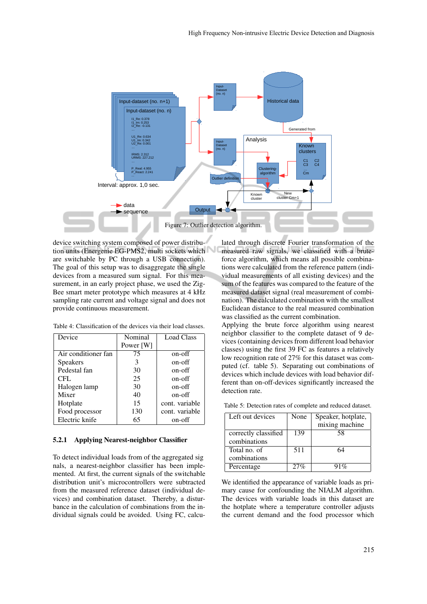

device switching system composed of power distribution units (Energenie EG-PMS2, multi sockets which are switchable by PC through a USB connection). The goal of this setup was to disaggregate the single devices from a measured sum signal. For this measurement, in an early project phase, we used the Zig-Bee smart meter prototype which measures at 4 kHz sampling rate current and voltage signal and does not provide continuous measurement.

| Device              | Nominal   | <b>Load Class</b> |
|---------------------|-----------|-------------------|
|                     | Power [W] |                   |
| Air conditioner fan | 75        | on-off            |
| <b>Speakers</b>     | 3         | on-off            |
| Pedestal fan        | 30        | on-off            |
| <b>CFL</b>          | 25        | on-off            |
| Halogen lamp        | 30        | on-off            |
| Mixer               | 40        | on-off            |
| Hotplate            | 15        | cont. variable    |
| Food processor      | 130       | cont. variable    |
| Electric knife      | 65        | on-off            |

Table 4: Classification of the devices via their load classes.

#### 5.2.1 Applying Nearest-neighbor Classifier

To detect individual loads from of the aggregated sig nals, a nearest-neighbor classifier has been implemented. At first, the current signals of the switchable distribution unit's microcontrollers were subtracted from the measured reference dataset (individual devices) and combination dataset. Thereby, a disturbance in the calculation of combinations from the individual signals could be avoided. Using FC, calcu-

lated through discrete Fourier transformation of the measured raw signals, we classified with a bruteforce algorithm, which means all possible combinations were calculated from the reference pattern (individual measurements of all existing devices) and the sum of the features was compared to the feature of the measured dataset signal (real measurement of combination). The calculated combination with the smallest Euclidean distance to the real measured combination was classified as the current combination.

Applying the brute force algorithm using nearest neighbor classifier to the complete dataset of 9 devices (containing devices from different load behavior classes) using the first 39 FC as features a relatively low recognition rate of 27% for this dataset was computed (cf. table 5). Separating out combinations of devices which include devices with load behavior different than on-off-devices significantly increased the detection rate.

| Left out devices     | None | Speaker, hotplate, |
|----------------------|------|--------------------|
|                      |      | mixing machine     |
| correctly classified | 139  | 58                 |
| combinations         |      |                    |
| Total no. of         | 511  | 64                 |
| combinations         |      |                    |
| Percentage           | 27%  | $1\%$              |

Table 5: Detection rates of complete and reduced dataset.

We identified the appearance of variable loads as primary cause for confounding the NIALM algorithm. The devices with variable loads in this dataset are the hotplate where a temperature controller adjusts the current demand and the food processor which